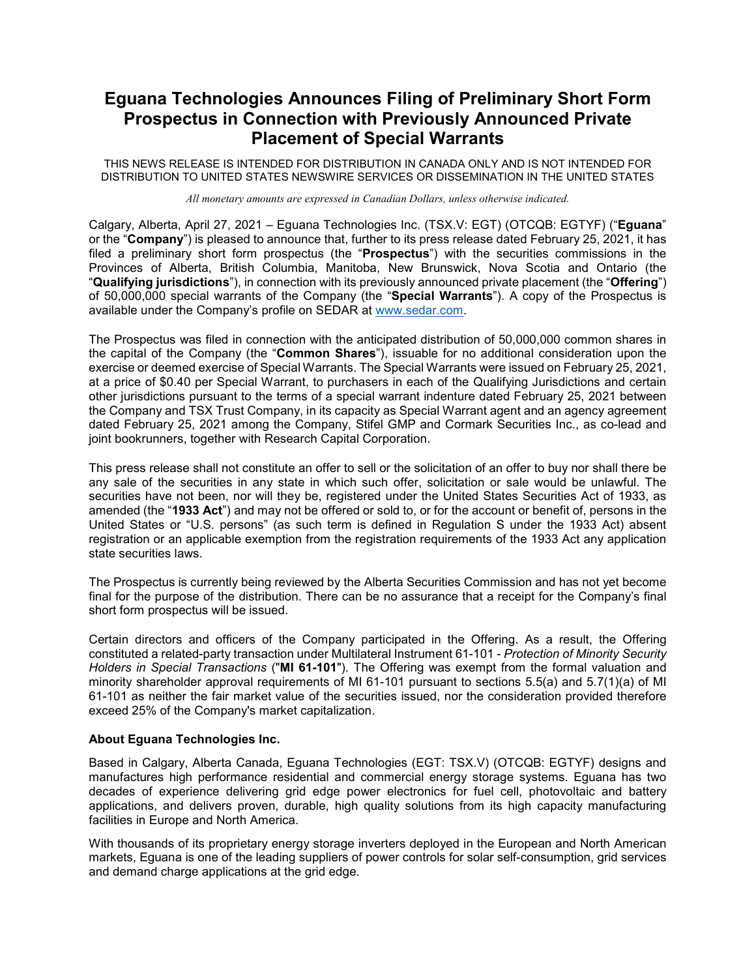## **Eguana Technologies Announces Filing of Preliminary Short Form Prospectus in Connection with Previously Announced Private Placement of Special Warrants**

THIS NEWS RELEASE IS INTENDED FOR DISTRIBUTION IN CANADA ONLY AND IS NOT INTENDED FOR DISTRIBUTION TO UNITED STATES NEWSWIRE SERVICES OR DISSEMINATION IN THE UNITED STATES

*All monetary amounts are expressed in Canadian Dollars, unless otherwise indicated.*

Calgary, Alberta, April 27, 2021 – Eguana Technologies Inc. (TSX.V: EGT) (OTCQB: EGTYF) ("**Eguana**" or the "**Company**") is pleased to announce that, further to its press release dated February 25, 2021, it has filed a preliminary short form prospectus (the "**Prospectus**") with the securities commissions in the Provinces of Alberta, British Columbia, Manitoba, New Brunswick, Nova Scotia and Ontario (the "**Qualifying jurisdictions**"), in connection with its previously announced private placement (the "**Offering**") of 50,000,000 special warrants of the Company (the "**Special Warrants**"). A copy of the Prospectus is available under the Company's profile on SEDAR at [www.sedar.com.](http://www.sedar.com/)

The Prospectus was filed in connection with the anticipated distribution of 50,000,000 common shares in the capital of the Company (the "**Common Shares**"), issuable for no additional consideration upon the exercise or deemed exercise of Special Warrants. The Special Warrants were issued on February 25, 2021, at a price of \$0.40 per Special Warrant, to purchasers in each of the Qualifying Jurisdictions and certain other jurisdictions pursuant to the terms of a special warrant indenture dated February 25, 2021 between the Company and TSX Trust Company, in its capacity as Special Warrant agent and an agency agreement dated February 25, 2021 among the Company, Stifel GMP and Cormark Securities Inc., as co-lead and joint bookrunners, together with Research Capital Corporation.

This press release shall not constitute an offer to sell or the solicitation of an offer to buy nor shall there be any sale of the securities in any state in which such offer, solicitation or sale would be unlawful. The securities have not been, nor will they be, registered under the United States Securities Act of 1933, as amended (the "**1933 Act**") and may not be offered or sold to, or for the account or benefit of, persons in the United States or "U.S. persons" (as such term is defined in Regulation S under the 1933 Act) absent registration or an applicable exemption from the registration requirements of the 1933 Act any application state securities laws.

The Prospectus is currently being reviewed by the Alberta Securities Commission and has not yet become final for the purpose of the distribution. There can be no assurance that a receipt for the Company's final short form prospectus will be issued.

Certain directors and officers of the Company participated in the Offering. As a result, the Offering constituted a related-party transaction under Multilateral Instrument 61-101 - *Protection of Minority Security Holders in Special Transactions* ("**MI 61-101**"). The Offering was exempt from the formal valuation and minority shareholder approval requirements of MI 61-101 pursuant to sections 5.5(a) and 5.7(1)(a) of MI 61-101 as neither the fair market value of the securities issued, nor the consideration provided therefore exceed 25% of the Company's market capitalization.

## **About Eguana Technologies Inc.**

Based in Calgary, Alberta Canada, Eguana Technologies (EGT: TSX.V) (OTCQB: EGTYF) designs and manufactures high performance residential and commercial energy storage systems. Eguana has two decades of experience delivering grid edge power electronics for fuel cell, photovoltaic and battery applications, and delivers proven, durable, high quality solutions from its high capacity manufacturing facilities in Europe and North America.

With thousands of its proprietary energy storage inverters deployed in the European and North American markets, Eguana is one of the leading suppliers of power controls for solar self-consumption, grid services and demand charge applications at the grid edge.